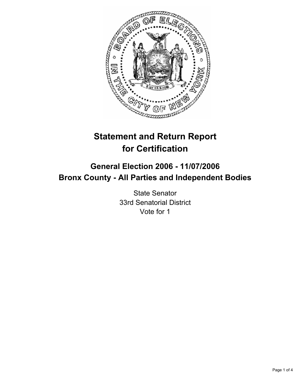

# **Statement and Return Report for Certification**

## **General Election 2006 - 11/07/2006 Bronx County - All Parties and Independent Bodies**

State Senator 33rd Senatorial District Vote for 1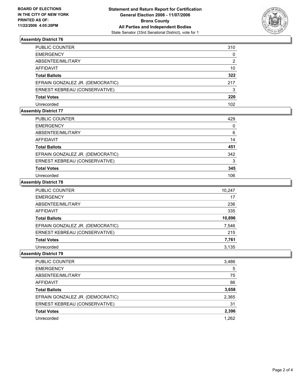

#### **Assembly District 76**

| PUBLIC COUNTER                   | 310 |
|----------------------------------|-----|
| EMERGENCY                        | 0   |
| ABSENTEE/MILITARY                | 2   |
| AFFIDAVIT                        | 10  |
| Total Ballots                    | 322 |
| EFRAIN GONZALEZ JR. (DEMOCRATIC) | 217 |
| ERNEST KEBREAU (CONSERVATIVE)    | 3   |
| Total Votes                      | 220 |
| Unrecorded                       | 102 |

#### **Assembly District 77**

| <b>PUBLIC COUNTER</b>            | 429 |  |
|----------------------------------|-----|--|
| <b>EMERGENCY</b>                 |     |  |
| ABSENTEE/MILITARY                | 6   |  |
| AFFIDAVIT                        | 14  |  |
| <b>Total Ballots</b>             | 451 |  |
| EFRAIN GONZALEZ JR. (DEMOCRATIC) | 342 |  |
| ERNEST KEBREAU (CONSERVATIVE)    |     |  |
| <b>Total Votes</b>               | 345 |  |
| Unrecorded                       | 106 |  |

#### **Assembly District 78**

| <b>PUBLIC COUNTER</b>            | 10,247 |
|----------------------------------|--------|
| <b>EMERGENCY</b>                 | 17     |
| ABSENTEE/MILITARY                | 236    |
| AFFIDAVIT                        | 335    |
| <b>Total Ballots</b>             | 10,896 |
| EFRAIN GONZALEZ JR. (DEMOCRATIC) | 7,546  |
| ERNEST KEBREAU (CONSERVATIVE)    | 215    |
| <b>Total Votes</b>               | 7,761  |
| Unrecorded                       | 3.135  |

#### **Assembly District 79**

| PUBLIC COUNTER                   | 3,486 |
|----------------------------------|-------|
| <b>EMERGENCY</b>                 | 5     |
| ABSENTEE/MILITARY                | 75    |
| AFFIDAVIT                        | 86    |
| <b>Total Ballots</b>             | 3,658 |
| EFRAIN GONZALEZ JR. (DEMOCRATIC) | 2,365 |
| ERNEST KEBREAU (CONSERVATIVE)    | 31    |
| <b>Total Votes</b>               | 2,396 |
| Unrecorded                       | 1,262 |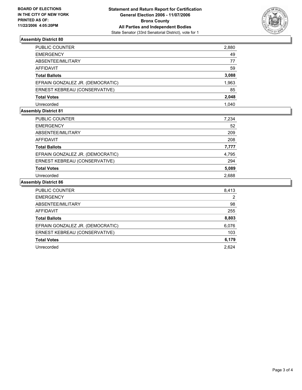

#### **Assembly District 80**

| PUBLIC COUNTER                   | 2,880 |
|----------------------------------|-------|
| EMERGENCY                        | 49    |
| ABSENTEE/MILITARY                | 77    |
| AFFIDAVIT                        | 59    |
| Total Ballots                    | 3,088 |
| EFRAIN GONZALEZ JR. (DEMOCRATIC) | 1,963 |
| ERNEST KEBREAU (CONSERVATIVE)    | 85    |
| Total Votes                      | 2,048 |
| Unrecorded                       | 1.040 |

#### **Assembly District 81**

| PUBLIC COUNTER                   | 7,234 |
|----------------------------------|-------|
| EMERGENCY                        | 52    |
| ABSENTEE/MILITARY                | 209   |
| AFFIDAVIT                        | 208   |
| Total Ballots                    | 7,777 |
| EFRAIN GONZALEZ JR. (DEMOCRATIC) | 4,795 |
| ERNEST KEBREAU (CONSERVATIVE)    | 294   |
| Total Votes                      | 5,089 |
| Unrecorded                       | 2,688 |

#### **Assembly District 86**

| <b>PUBLIC COUNTER</b>            | 8,413 |
|----------------------------------|-------|
| <b>EMERGENCY</b>                 | 2     |
| ABSENTEE/MILITARY                | 98    |
| <b>AFFIDAVIT</b>                 | 255   |
| <b>Total Ballots</b>             | 8,803 |
| EFRAIN GONZALEZ JR. (DEMOCRATIC) | 6,076 |
| ERNEST KEBREAU (CONSERVATIVE)    | 103   |
| <b>Total Votes</b>               | 6,179 |
| Unrecorded                       | 2.624 |